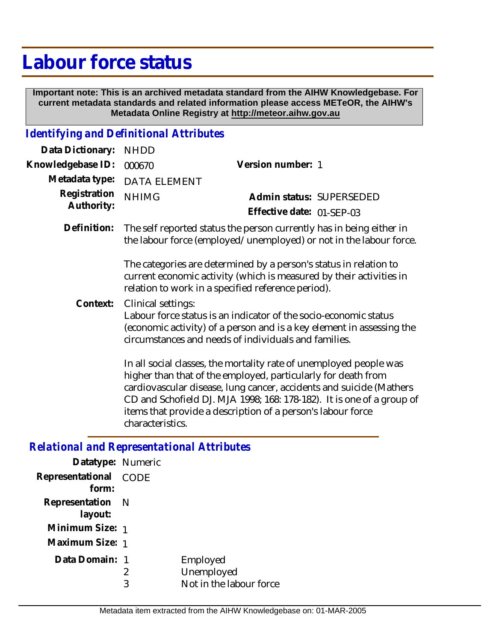## **Labour force status**

 **Important note: This is an archived metadata standard from the AIHW Knowledgebase. For current metadata standards and related information please access METeOR, the AIHW's Metadata Online Registry at http://meteor.aihw.gov.au**

## *Identifying and Definitional Attributes*

| Data Dictionary:                                  | <b>NHDD</b>                                                                                                                                                                                                             |                                                                                                                                                                                                                                                                                                                                                    |  |  |
|---------------------------------------------------|-------------------------------------------------------------------------------------------------------------------------------------------------------------------------------------------------------------------------|----------------------------------------------------------------------------------------------------------------------------------------------------------------------------------------------------------------------------------------------------------------------------------------------------------------------------------------------------|--|--|
| Knowledgebase ID:                                 | 000670                                                                                                                                                                                                                  | Version number: 1                                                                                                                                                                                                                                                                                                                                  |  |  |
| Metadata type:                                    | <b>DATA ELEMENT</b>                                                                                                                                                                                                     |                                                                                                                                                                                                                                                                                                                                                    |  |  |
| Registration<br>Authority:                        | <b>NHIMG</b>                                                                                                                                                                                                            | Admin status: SUPERSEDED                                                                                                                                                                                                                                                                                                                           |  |  |
|                                                   |                                                                                                                                                                                                                         | Effective date: 01-SEP-03                                                                                                                                                                                                                                                                                                                          |  |  |
| Definition:                                       |                                                                                                                                                                                                                         | The self reported status the person currently has in being either in<br>the labour force (employed/unemployed) or not in the labour force.<br>The categories are determined by a person's status in relation to                                                                                                                                    |  |  |
|                                                   | current economic activity (which is measured by their activities in<br>relation to work in a specified reference period).                                                                                               |                                                                                                                                                                                                                                                                                                                                                    |  |  |
| Context:                                          | Clinical settings:<br>Labour force status is an indicator of the socio-economic status<br>(economic activity) of a person and is a key element in assessing the<br>circumstances and needs of individuals and families. |                                                                                                                                                                                                                                                                                                                                                    |  |  |
|                                                   | characteristics.                                                                                                                                                                                                        | In all social classes, the mortality rate of unemployed people was<br>higher than that of the employed, particularly for death from<br>cardiovascular disease, lung cancer, accidents and suicide (Mathers<br>CD and Schofield DJ. MJA 1998; 168: 178-182). It is one of a group of<br>items that provide a description of a person's labour force |  |  |
| <b>Relational and Representational Attributes</b> |                                                                                                                                                                                                                         |                                                                                                                                                                                                                                                                                                                                                    |  |  |
| Datatype: Numeric                                 |                                                                                                                                                                                                                         |                                                                                                                                                                                                                                                                                                                                                    |  |  |

| Dalatype. Trullienc            |        |                                                   |
|--------------------------------|--------|---------------------------------------------------|
| Representational CODE<br>form: |        |                                                   |
| Representation N<br>layout:    |        |                                                   |
| Minimum Size: 1                |        |                                                   |
| Maximum Size: 1                |        |                                                   |
| Data Domain: 1                 | 2<br>3 | Employed<br>Unemployed<br>Not in the labour force |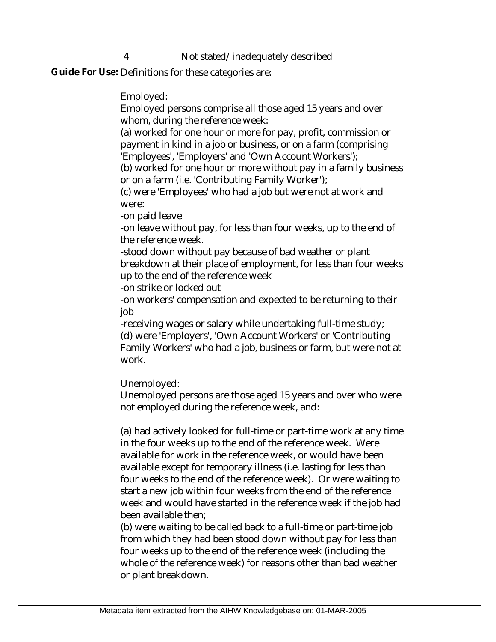## 4 Not stated/inadequately described

Guide For Use: Definitions for these categories are:

Employed:

Employed persons comprise all those aged 15 years and over whom, during the reference week:

(a) worked for one hour or more for pay, profit, commission or payment in kind in a job or business, or on a farm (comprising 'Employees', 'Employers' and 'Own Account Workers');

(b) worked for one hour or more without pay in a family business or on a farm (i.e. 'Contributing Family Worker');

(c) were 'Employees' who had a job but were not at work and were:

-on paid leave

-on leave without pay, for less than four weeks, up to the end of the reference week.

-stood down without pay because of bad weather or plant breakdown at their place of employment, for less than four weeks up to the end of the reference week

-on strike or locked out

-on workers' compensation and expected to be returning to their job

-receiving wages or salary while undertaking full-time study; (d) were 'Employers', 'Own Account Workers' or 'Contributing Family Workers' who had a job, business or farm, but were not at work.

Unemployed:

Unemployed persons are those aged 15 years and over who were not employed during the reference week, and:

(a) had actively looked for full-time or part-time work at any time in the four weeks up to the end of the reference week. Were available for work in the reference week, or would have been available except for temporary illness (i.e. lasting for less than four weeks to the end of the reference week). Or were waiting to start a new job within four weeks from the end of the reference week and would have started in the reference week if the job had been available then;

(b) were waiting to be called back to a full-time or part-time job from which they had been stood down without pay for less than four weeks up to the end of the reference week (including the whole of the reference week) for reasons other than bad weather or plant breakdown.